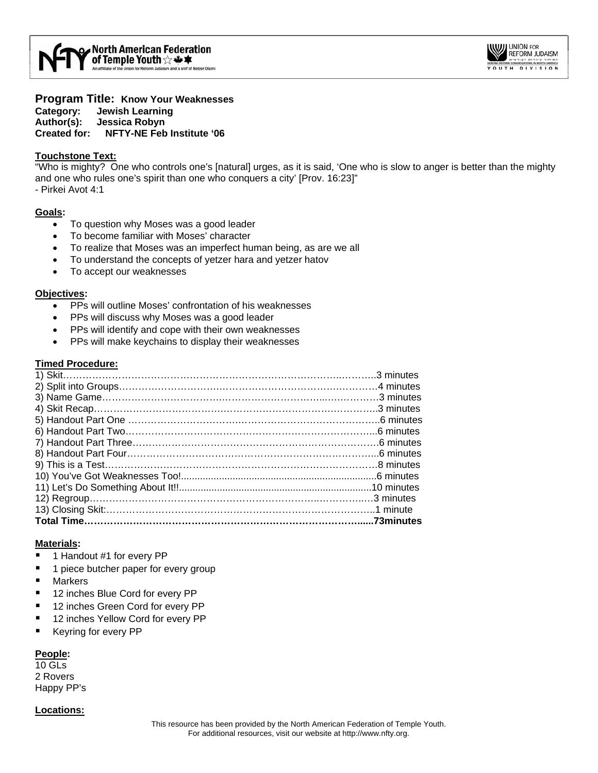

**Program Title: Know Your Weaknesses Category: Jewish Learning Author(s): Jessica Robyn Created for: NFTY-NE Feb Institute '06** 

#### **Touchstone Text:**

"Who is mighty? One who controls one's [natural] urges, as it is said, 'One who is slow to anger is better than the mighty and one who rules one's spirit than one who conquers a city' [Prov. 16:23]" - Pirkei Avot 4:1

#### **Goals:**

- To question why Moses was a good leader
- To become familiar with Moses' character
- To realize that Moses was an imperfect human being, as are we all
- To understand the concepts of yetzer hara and yetzer hatov
- To accept our weaknesses

#### **Objectives:**

- PPs will outline Moses' confrontation of his weaknesses
- PPs will discuss why Moses was a good leader
- PPs will identify and cope with their own weaknesses
- PPs will make keychains to display their weaknesses

#### **Timed Procedure:**

#### **Materials:**

- 1 Handout #1 for every PP
- 1 piece butcher paper for every group
- **Markers**
- 12 inches Blue Cord for every PP
- 12 inches Green Cord for every PP
- 12 inches Yellow Cord for every PP
- Keyring for every PP

#### **People:**

10 GLs 2 Rovers Happy PP's

#### **Locations:**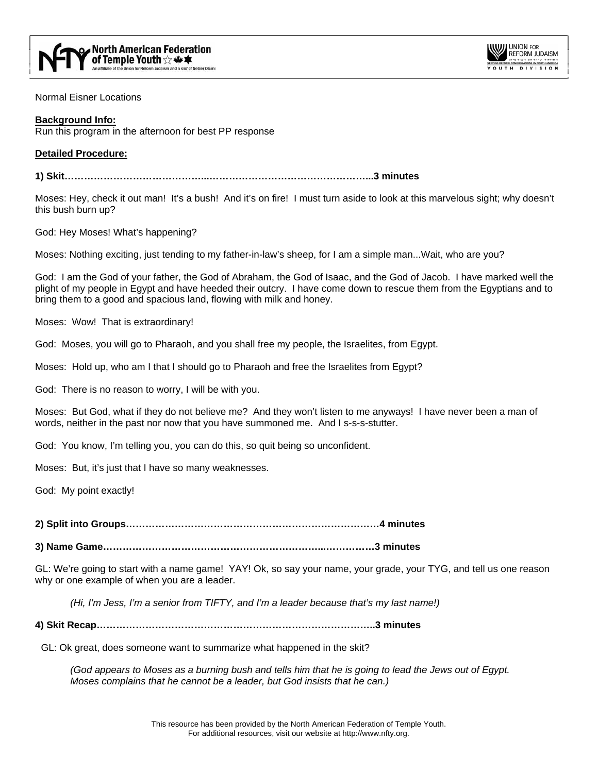



Normal Eisner Locations

#### **Background Info:**

Run this program in the afternoon for best PP response

#### **Detailed Procedure:**

**1) Skit……………………………………...…………………………………………...3 minutes** 

Moses: Hey, check it out man! It's a bush! And it's on fire! I must turn aside to look at this marvelous sight; why doesn't this bush burn up?

God: Hey Moses! What's happening?

Moses: Nothing exciting, just tending to my father-in-law's sheep, for I am a simple man...Wait, who are you?

God: I am the God of your father, the God of Abraham, the God of Isaac, and the God of Jacob. I have marked well the plight of my people in Egypt and have heeded their outcry. I have come down to rescue them from the Egyptians and to bring them to a good and spacious land, flowing with milk and honey.

Moses: Wow! That is extraordinary!

God: Moses, you will go to Pharaoh, and you shall free my people, the Israelites, from Egypt.

Moses: Hold up, who am I that I should go to Pharaoh and free the Israelites from Egypt?

God: There is no reason to worry, I will be with you.

Moses: But God, what if they do not believe me? And they won't listen to me anyways! I have never been a man of words, neither in the past nor now that you have summoned me. And I s-s-s-stutter.

God: You know, I'm telling you, you can do this, so quit being so unconfident.

Moses: But, it's just that I have so many weaknesses.

God: My point exactly!

**2) Split into Groups……………………………………………………………………4 minutes** 

**3) Name Game…………………………………………………………...……………3 minutes** 

GL: We're going to start with a name game! YAY! Ok, so say your name, your grade, your TYG, and tell us one reason why or one example of when you are a leader.

*(Hi, I'm Jess, I'm a senior from TIFTY, and I'm a leader because that's my last name!)*

**4) Skit Recap…………………………………………………………………………..3 minutes** 

GL: Ok great, does someone want to summarize what happened in the skit?

*(God appears to Moses as a burning bush and tells him that he is going to lead the Jews out of Egypt. Moses complains that he cannot be a leader, but God insists that he can.)*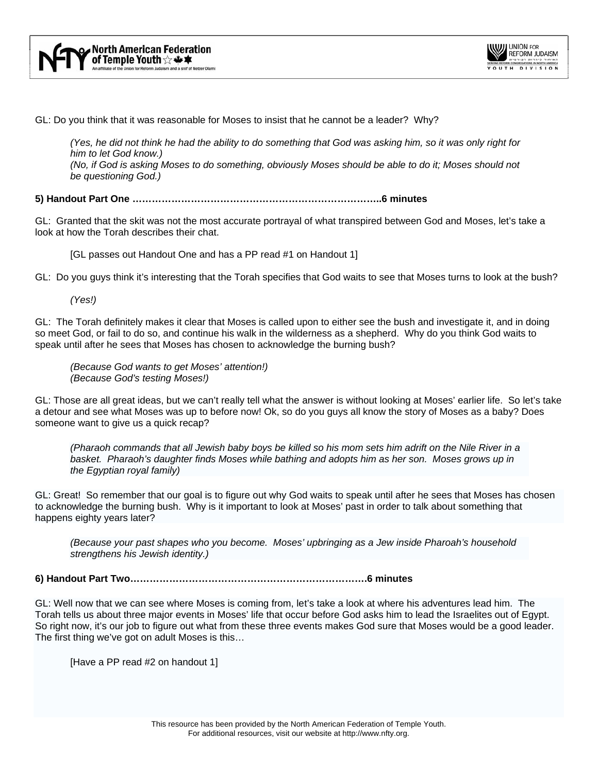

GL: Do you think that it was reasonable for Moses to insist that he cannot be a leader? Why?

*(Yes, he did not think he had the ability to do something that God was asking him, so it was only right for him to let God know.) (No, if God is asking Moses to do something, obviously Moses should be able to do it; Moses should not be questioning God.)* 

**5) Handout Part One …………………………………………………………………..6 minutes** 

GL: Granted that the skit was not the most accurate portrayal of what transpired between God and Moses, let's take a look at how the Torah describes their chat.

[GL passes out Handout One and has a PP read #1 on Handout 1]

GL: Do you guys think it's interesting that the Torah specifies that God waits to see that Moses turns to look at the bush?

*(Yes!)* 

GL: The Torah definitely makes it clear that Moses is called upon to either see the bush and investigate it, and in doing so meet God, or fail to do so, and continue his walk in the wilderness as a shepherd. Why do you think God waits to speak until after he sees that Moses has chosen to acknowledge the burning bush?

*(Because God wants to get Moses' attention!) (Because God's testing Moses!)* 

GL: Those are all great ideas, but we can't really tell what the answer is without looking at Moses' earlier life. So let's take a detour and see what Moses was up to before now! Ok, so do you guys all know the story of Moses as a baby? Does someone want to give us a quick recap?

*(Pharaoh commands that all Jewish baby boys be killed so his mom sets him adrift on the Nile River in a basket. Pharaoh's daughter finds Moses while bathing and adopts him as her son. Moses grows up in the Egyptian royal family)* 

GL: Great! So remember that our goal is to figure out why God waits to speak until after he sees that Moses has chosen to acknowledge the burning bush. Why is it important to look at Moses' past in order to talk about something that happens eighty years later?

*(Because your past shapes who you become. Moses' upbringing as a Jew inside Pharoah's household strengthens his Jewish identity.)* 

**6) Handout Part Two……………………………………………………………….6 minutes** 

GL: Well now that we can see where Moses is coming from, let's take a look at where his adventures lead him. The Torah tells us about three major events in Moses' life that occur before God asks him to lead the Israelites out of Egypt. So right now, it's our job to figure out what from these three events makes God sure that Moses would be a good leader. The first thing we've got on adult Moses is this…

[Have a PP read #2 on handout 1]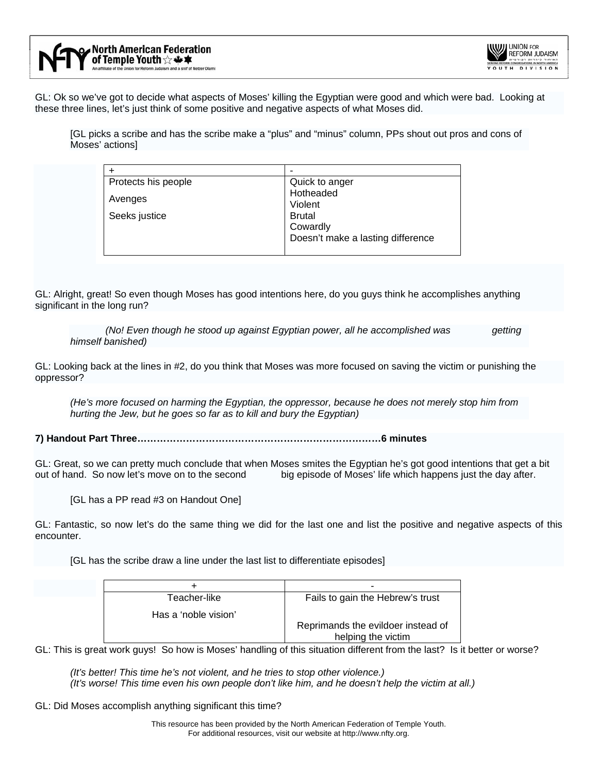

GL: Ok so we've got to decide what aspects of Moses' killing the Egyptian were good and which were bad. Looking at these three lines, let's just think of some positive and negative aspects of what Moses did.

[GL picks a scribe and has the scribe make a "plus" and "minus" column, PPs shout out pros and cons of Moses' actions]

| Protects his people | Quick to anger                    |
|---------------------|-----------------------------------|
|                     | Hotheaded                         |
| Avenges             | Violent                           |
| Seeks justice       | <b>Brutal</b>                     |
|                     | Cowardly                          |
|                     | Doesn't make a lasting difference |
|                     |                                   |

GL: Alright, great! So even though Moses has good intentions here, do you guys think he accomplishes anything significant in the long run?

*(No! Even though he stood up against Egyptian power, all he accomplished was getting himself banished)* 

GL: Looking back at the lines in #2, do you think that Moses was more focused on saving the victim or punishing the oppressor?

*(He's more focused on harming the Egyptian, the oppressor, because he does not merely stop him from hurting the Jew, but he goes so far as to kill and bury the Egyptian)* 

**7) Handout Part Three…………………………………………………………………6 minutes** 

GL: Great, so we can pretty much conclude that when Moses smites the Egyptian he's got good intentions that get a bit out of hand. So now let's move on to the second big episode of Moses' life which happens just the day after.

[GL has a PP read #3 on Handout One]

GL: Fantastic, so now let's do the same thing we did for the last one and list the positive and negative aspects of this encounter.

[GL has the scribe draw a line under the last list to differentiate episodes]

|                      | -                                  |
|----------------------|------------------------------------|
| Teacher-like         | Fails to gain the Hebrew's trust   |
| Has a 'noble vision' |                                    |
|                      | Reprimands the evildoer instead of |
|                      | helping the victim                 |

GL: This is great work guys! So how is Moses' handling of this situation different from the last? Is it better or worse?

*(It's better! This time he's not violent, and he tries to stop other violence.) (It's worse! This time even his own people don't like him, and he doesn't help the victim at all.)* 

GL: Did Moses accomplish anything significant this time?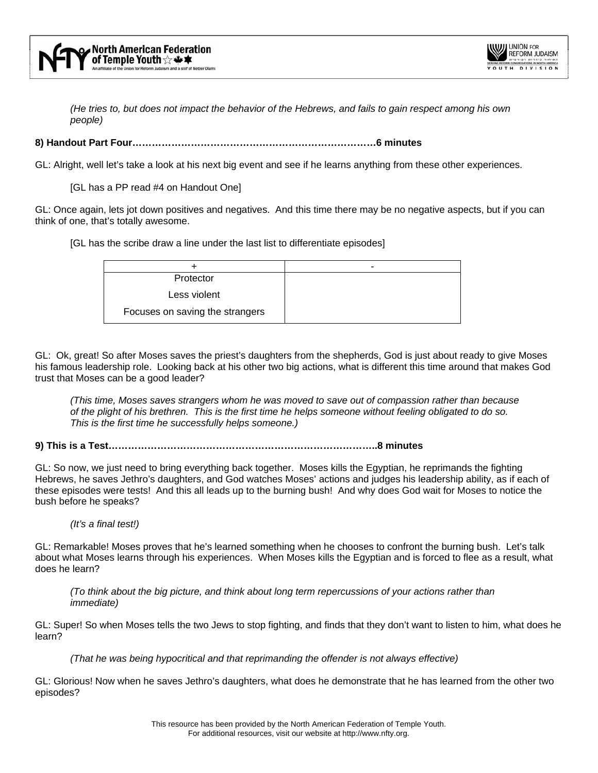

*(He tries to, but does not impact the behavior of the Hebrews, and fails to gain respect among his own people)* 

#### **8) Handout Part Four…………………………………………………………………6 minutes**

GL: Alright, well let's take a look at his next big event and see if he learns anything from these other experiences.

[GL has a PP read #4 on Handout One]

GL: Once again, lets jot down positives and negatives. And this time there may be no negative aspects, but if you can think of one, that's totally awesome.

[GL has the scribe draw a line under the last list to differentiate episodes]

| Protector                       |  |
|---------------------------------|--|
| Less violent                    |  |
| Focuses on saving the strangers |  |

GL: Ok, great! So after Moses saves the priest's daughters from the shepherds, God is just about ready to give Moses his famous leadership role. Looking back at his other two big actions, what is different this time around that makes God trust that Moses can be a good leader?

*(This time, Moses saves strangers whom he was moved to save out of compassion rather than because of the plight of his brethren. This is the first time he helps someone without feeling obligated to do so. This is the first time he successfully helps someone.)* 

**9) This is a Test………………………………………………………………………..8 minutes** 

GL: So now, we just need to bring everything back together. Moses kills the Egyptian, he reprimands the fighting Hebrews, he saves Jethro's daughters, and God watches Moses' actions and judges his leadership ability, as if each of these episodes were tests! And this all leads up to the burning bush! And why does God wait for Moses to notice the bush before he speaks?

*(It's a final test!)* 

GL: Remarkable! Moses proves that he's learned something when he chooses to confront the burning bush. Let's talk about what Moses learns through his experiences. When Moses kills the Egyptian and is forced to flee as a result, what does he learn?

*(To think about the big picture, and think about long term repercussions of your actions rather than immediate)* 

GL: Super! So when Moses tells the two Jews to stop fighting, and finds that they don't want to listen to him, what does he learn?

*(That he was being hypocritical and that reprimanding the offender is not always effective)* 

GL: Glorious! Now when he saves Jethro's daughters, what does he demonstrate that he has learned from the other two episodes?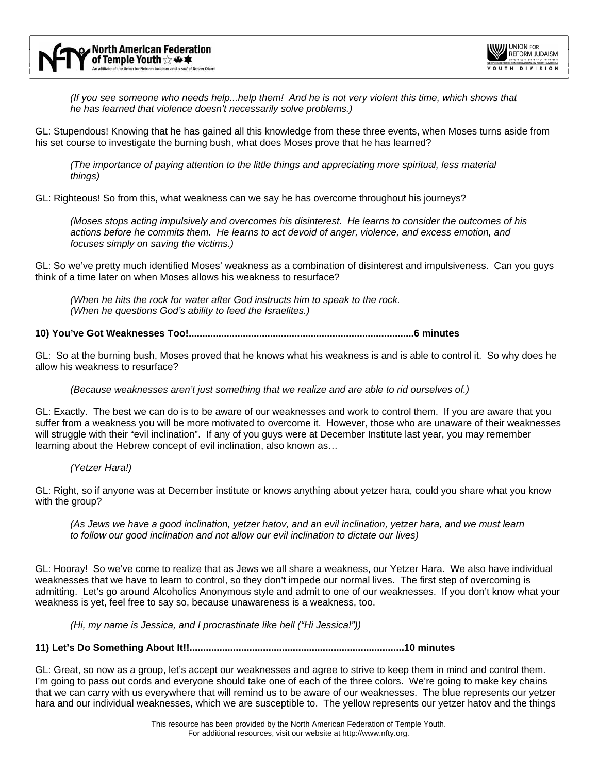

*(If you see someone who needs help...help them! And he is not very violent this time, which shows that he has learned that violence doesn't necessarily solve problems.)* 

GL: Stupendous! Knowing that he has gained all this knowledge from these three events, when Moses turns aside from his set course to investigate the burning bush, what does Moses prove that he has learned?

*(The importance of paying attention to the little things and appreciating more spiritual, less material things)* 

GL: Righteous! So from this, what weakness can we say he has overcome throughout his journeys?

*(Moses stops acting impulsively and overcomes his disinterest. He learns to consider the outcomes of his actions before he commits them. He learns to act devoid of anger, violence, and excess emotion, and focuses simply on saving the victims.)* 

GL: So we've pretty much identified Moses' weakness as a combination of disinterest and impulsiveness. Can you guys think of a time later on when Moses allows his weakness to resurface?

*(When he hits the rock for water after God instructs him to speak to the rock. (When he questions God's ability to feed the Israelites.)* 

**10) You've Got Weaknesses Too!...................................................................................6 minutes** 

GL: So at the burning bush, Moses proved that he knows what his weakness is and is able to control it. So why does he allow his weakness to resurface?

*(Because weaknesses aren't just something that we realize and are able to rid ourselves of.)* 

GL: Exactly. The best we can do is to be aware of our weaknesses and work to control them. If you are aware that you suffer from a weakness you will be more motivated to overcome it. However, those who are unaware of their weaknesses will struggle with their "evil inclination". If any of you guys were at December Institute last year, you may remember learning about the Hebrew concept of evil inclination, also known as…

*(Yetzer Hara!)* 

GL: Right, so if anyone was at December institute or knows anything about yetzer hara, could you share what you know with the group?

*(As Jews we have a good inclination, yetzer hatov, and an evil inclination, yetzer hara, and we must learn to follow our good inclination and not allow our evil inclination to dictate our lives)* 

GL: Hooray! So we've come to realize that as Jews we all share a weakness, our Yetzer Hara. We also have individual weaknesses that we have to learn to control, so they don't impede our normal lives. The first step of overcoming is admitting. Let's go around Alcoholics Anonymous style and admit to one of our weaknesses. If you don't know what your weakness is yet, feel free to say so, because unawareness is a weakness, too.

*(Hi, my name is Jessica, and I procrastinate like hell ("Hi Jessica!"))* 

**11) Let's Do Something About It!!...............................................................................10 minutes** 

GL: Great, so now as a group, let's accept our weaknesses and agree to strive to keep them in mind and control them. I'm going to pass out cords and everyone should take one of each of the three colors. We're going to make key chains that we can carry with us everywhere that will remind us to be aware of our weaknesses. The blue represents our yetzer hara and our individual weaknesses, which we are susceptible to. The yellow represents our yetzer hatov and the things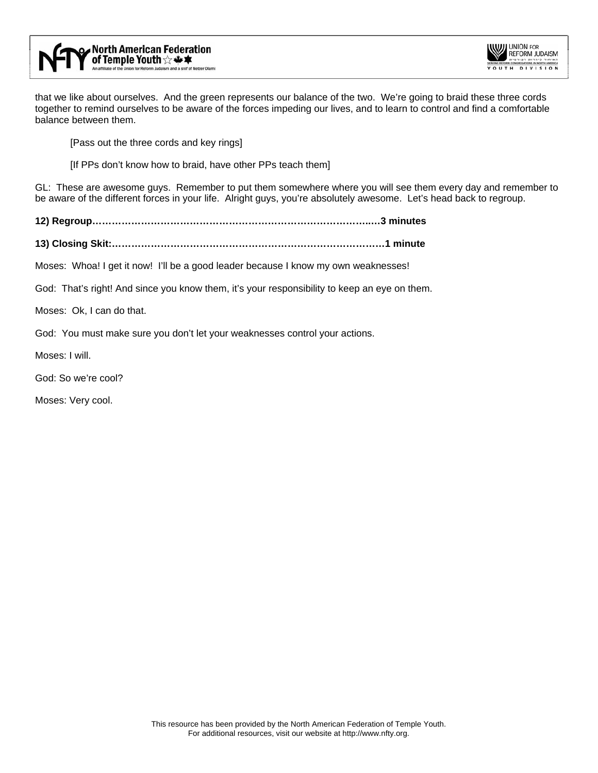



that we like about ourselves. And the green represents our balance of the two. We're going to braid these three cords together to remind ourselves to be aware of the forces impeding our lives, and to learn to control and find a comfortable balance between them.

[Pass out the three cords and key rings]

[If PPs don't know how to braid, have other PPs teach them]

GL: These are awesome guys. Remember to put them somewhere where you will see them every day and remember to be aware of the different forces in your life. Alright guys, you're absolutely awesome. Let's head back to regroup.

**12) Regroup…………………………………………………………………………..…3 minutes** 

**13) Closing Skit:…………………………………………………………………………1 minute** 

Moses: Whoa! I get it now! I'll be a good leader because I know my own weaknesses!

God: That's right! And since you know them, it's your responsibility to keep an eye on them.

Moses: Ok, I can do that.

God: You must make sure you don't let your weaknesses control your actions.

Moses: I will.

God: So we're cool?

Moses: Very cool.